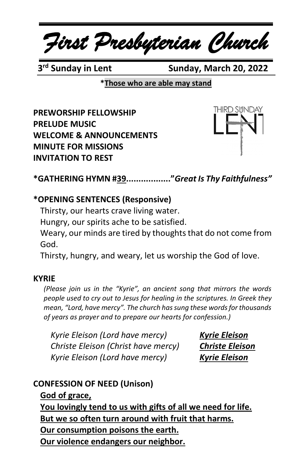*First Presbyterian Church*

3<sup>rd</sup> Sundav in Lent

**Sunday, March 20, 2022** 

**\*Those who are able may stand**

**PREWORSHIP FELLOWSHIP PRELUDE MUSIC WELCOME & ANNOUNCEMENTS MINUTE FOR MISSIONS INVITATION TO REST**



**\*GATHERING HYMN #39.................."***Great Is Thy Faithfulness"*

### **\*OPENING SENTENCES (Responsive)**

Thirsty, our hearts crave living water.

Hungry, our spirits ache to be satisfied.

Weary, our minds are tired by thoughts that do not come from God.

Thirsty, hungry, and weary, let us worship the God of love.

#### **KYRIE**

*(Please join us in the "Kyrie", an ancient song that mirrors the words people used to cry out to Jesus for healing in the scriptures. In Greek they mean, "Lord, have mercy". The church has sung these words for thousands of years as prayer and to prepare our hearts for confession.)*

*Kyrie Eleison (Lord have mercy) Kyrie Eleison Christe Eleison (Christ have mercy) Christe Eleison Kyrie Eleison (Lord have mercy) Kyrie Eleison*

# **CONFESSION OF NEED (Unison)**

**God of grace,**

**You lovingly tend to us with gifts of all we need for life. But we so often turn around with fruit that harms. Our consumption poisons the earth. Our violence endangers our neighbor.**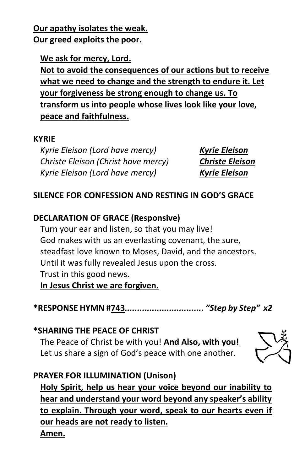**Our apathy isolates the weak. Our greed exploits the poor.**

**We ask for mercy, Lord.**

**Not to avoid the consequences of our actions but to receive what we need to change and the strength to endure it. Let your forgiveness be strong enough to change us. To transform us into people whose lives look like your love, peace and faithfulness.**

#### **KYRIE**

*Kyrie Eleison (Lord have mercy) Kyrie Eleison Christe Eleison (Christ have mercy) Christe Eleison Kyrie Eleison (Lord have mercy) Kyrie Eleison*

## **SILENCE FOR CONFESSION AND RESTING IN GOD'S GRACE**

### **DECLARATION OF GRACE (Responsive)**

Turn your ear and listen, so that you may live! God makes with us an everlasting covenant, the sure, steadfast love known to Moses, David, and the ancestors. Until it was fully revealed Jesus upon the cross. Trust in this good news.

**In Jesus Christ we are forgiven.**

**\*RESPONSE HYMN #743***................................ "Step by Step" x2*

**\*SHARING THE PEACE OF CHRIST** The Peace of Christ be with you! **And Also, with you!** Let us share a sign of God's peace with one another.



# **PRAYER FOR ILLUMINATION (Unison)**

**Holy Spirit, help us hear your voice beyond our inability to hear and understand your word beyond any speaker's ability to explain. Through your word, speak to our hearts even if our heads are not ready to listen. Amen.**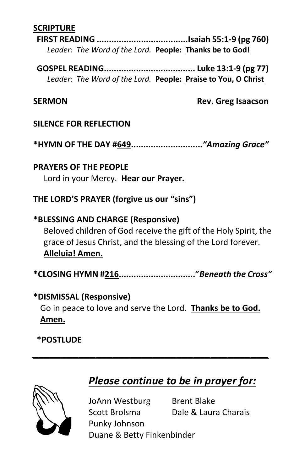### **SCRIPTURE**

**FIRST READING .....................................Isaiah 55:1-9 (pg 760)** *Leader: The Word of the Lord.* **People: Thanks be to God!**

**GOSPEL READING..................................... Luke 13:1-9 (pg 77)** *Leader: The Word of the Lord.* **People: Praise to You, O Christ**

**SERMON** Rev. Greg Isaacson

#### **SILENCE FOR REFLECTION**

**\*HYMN OF THE DAY #649.............................***"Amazing Grace"*

**PRAYERS OF THE PEOPLE** Lord in your Mercy. **Hear our Prayer.**

### **THE LORD'S PRAYER (forgive us our "sins")**

**\*BLESSING AND CHARGE (Responsive)**  Beloved children of God receive the gift of the Holy Spirit, the grace of Jesus Christ, and the blessing of the Lord forever. **Alleluia! Amen.**

**\*CLOSING HYMN #216..............................."***Beneath the Cross"*

#### **\*DISMISSAL (Responsive)**

Go in peace to love and serve the Lord. **Thanks be to God. Amen.**

*\_\_\_\_\_\_\_\_\_\_\_\_\_\_\_\_\_\_\_\_\_\_\_\_\_\_\_\_\_\_\_\_\_\_\_\_\_\_\_\_\_*

#### **\*POSTLUDE**



# *Please continue to be in prayer for:*

JoAnn Westburg Brent Blake Scott Brolsma Dale & Laura Charais Punky Johnson Duane & Betty Finkenbinder